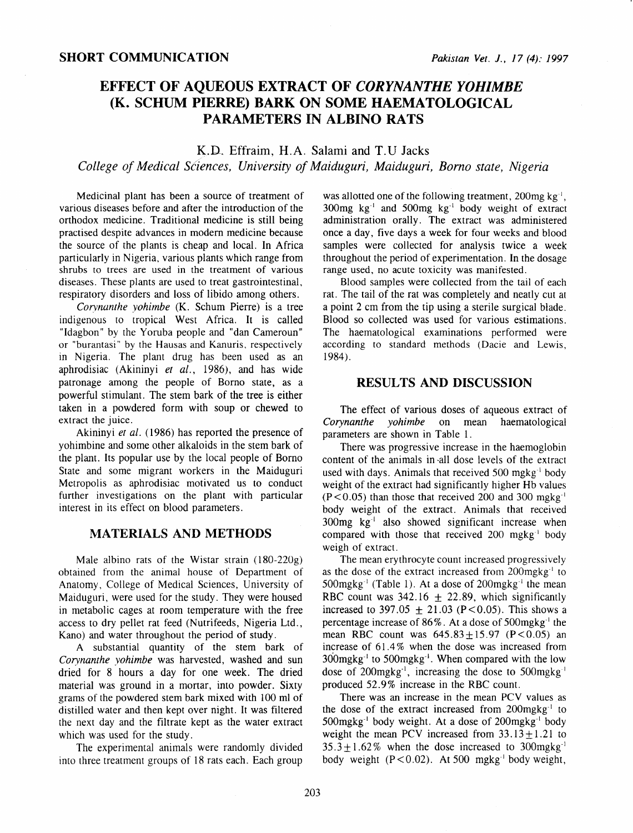# **EFFECT OF AQUEOUS EXTRACT OF** *CORYNANTHE YOHIMBE*  **(K. SCHUM PIERRE) BARK ON SOME HAEMATOLOGICAL PARAMETERS IN ALBINO RATS**

K.D. Effraim, H.A. Salami and T.U Jacks

*College of Medical SCiences, University of Maiduguri, Maiduguri, Borno state, Nigeria* 

Medicinal plant has been a source of treatment of various diseases before and after the introduction of the orthodox medicine. Traditional medicine is still being practised despite advances in modern medicine because the source of the plants is cheap and local. In Africa particularly in Nigeria, various plants which range from shrubs to trees are used in the treatment of various diseases. These plants are used to treat gastrointestinal, respiratory disorders and loss of libido among others.

*Corynanthe yohimbe* (K. Schum Pierre) is a tree indigenous to tropical West Africa. It is called "Idagbon" by the Yoruba people and "dan Cameroun" or "burantasi" by the Hausas and Kanuris, respectively in Nigeria. The plant drug has been used as an aphrodisiac (Akininyi *et al.,* 1986), and has wide patronage among the people of Borno state, as a powerful stimulant. The stem bark of the tree is either taken in a powdered form with soup or chewed to extract the juice.

Akininyi *et al.* (1986) has reported the presence of yohimbine and some other alkaloids in the stem bark of the plant. Its popular use by the local people of Borno State and some migrant workers in the Maiduguri Metropolis as aphrodisiac motivated us to conduct further investigations on the plant with particular interest in its effect on blood parameters.

## **MATERIALS AND METHODS**

Male albino rats of the Wistar strain (180-220g) obtained from the animal house of Department of Anatomy, College of Medical Sciences, University of Maiduguri, were used for the study. They were housed in metabolic cages at room temperature with the free access to dry pellet rat feed (Nutrifeeds, Nigeria Ltd., Kano) and water throughout the period of study.

A substantial quantity of the stem bark of *Corynanthe yohimbe* was harvested, washed and sun dried for 8 hours a day for one week. The dried material was ground in a mortar, into powder. Sixty grams of the powdered stem bark mixed with 100 ml of distilled water and then kept over night. It was filtered the next day and the filtrate kept as the water extract which was used for the study.

The experimental animals were randomly divided into three treatment groups of 18 rats each. Each group

was allotted one of the following treatment,  $200$ mg kg<sup>-1</sup>,  $300$ mg kg<sup>-1</sup> and  $500$ mg kg<sup>-1</sup> body weight of extract administration orally. The extract was administered once a day, five days a week for four weeks and blood samples were collected for analysis twice a week throughout the period of experimentation. In the dosage range used, no acute toxicity was manifested.

Blood samples were collected from the tail of each rat. The tail of the rat was completely and neatly cut at a point 2 em from the tip using a sterile surgical blade. Blood so collected was used for various estimations. The haematological examinations performed were according to standard methods (Dacie and Lewis, 1984).

## **RESULTS AND DISCUSSION**

The effect of various doses of aqueous extract of *Corynanthe yohimbe* on mean haematological parameters are shown in Table 1 .

There was progressive increase in the haemoglobin content of the animals in -all dose levels of the extract used with days. Animals that received  $500$  mgkg<sup>-1</sup> body weight of the extract had significantly higher Hb values  $(P<0.05)$  than those that received 200 and 300 mgkg<sup>-1</sup> body weight of the extract. Animals that received  $300$ mg  $kg<sup>-1</sup>$  also showed significant increase when compared with those that received  $200$  mgkg<sup>-1</sup> body weigh of extract.

The mean erythrocyte count increased progressively as the dose of the extract increased from  $200$ mgkg<sup>-1</sup> to  $500$ mgkg<sup>-1</sup> (Table 1). At a dose of  $200$ mgkg<sup>-1</sup> the mean RBC count was  $342.16 \pm 22.89$ , which significantly increased to 397.05  $\pm$  21.03 (P < 0.05). This shows a percentage increase of  $86\%$ . At a dose of  $500$ mgkg<sup>-1</sup> the mean RBC count was  $645.83 \pm 15.97$  (P < 0.05) an increase of 61 .4% when the dose was increased from  $300$ mgkg<sup>-1</sup> to  $500$ mgkg<sup>-1</sup>. When compared with the low dose of 200mgkg<sup>-1</sup>, increasing the dose to 500mgkg<sup>-1</sup> produced 52.9% increase in the RBC count.

There was an increase in the mean PCV values as the dose of the extract increased from  $200$ mgkg<sup>-1</sup> to  $500$ mgkg<sup>-1</sup> body weight. At a dose of  $200$ mgkg<sup>-1</sup> body weight the mean PCV increased from  $33.13 \pm 1.21$  to  $35.3 + 1.62\%$  when the dose increased to 300mgkg<sup>-1</sup> body weight  $(P<0.02)$ . At 500 mgkg<sup>-1</sup> body weight,